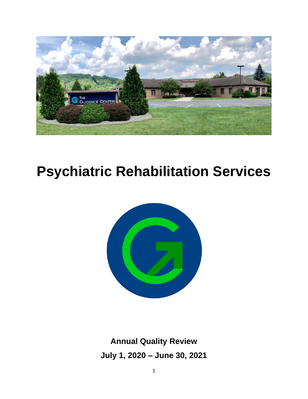

# **Psychiatric Rehabilitation Services**



**Annual Quality Review July 1, 2020 – June 30, 2021**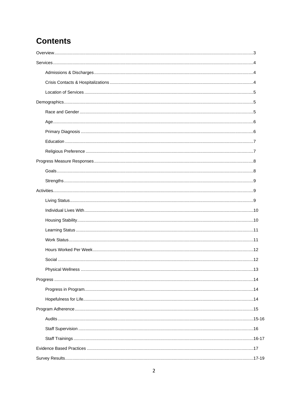# **Contents**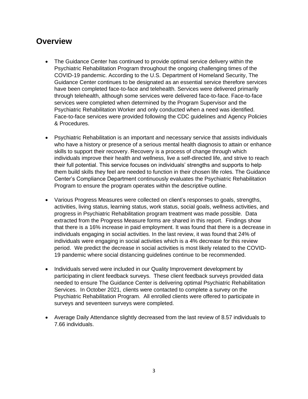# **Overview**

- The Guidance Center has continued to provide optimal service delivery within the Psychiatric Rehabilitation Program throughout the ongoing challenging times of the COVID-19 pandemic. According to the U.S. Department of Homeland Security, The Guidance Center continues to be designated as an essential service therefore services have been completed face-to-face and telehealth. Services were delivered primarily through telehealth, although some services were delivered face-to-face. Face-to-face services were completed when determined by the Program Supervisor and the Psychiatric Rehabilitation Worker and only conducted when a need was identified. Face-to-face services were provided following the CDC guidelines and Agency Policies & Procedures.
- Psychiatric Rehabilitation is an important and necessary service that assists individuals who have a history or presence of a serious mental health diagnosis to attain or enhance skills to support their recovery. Recovery is a process of change through which individuals improve their health and wellness, live a self-directed life, and strive to reach their full potential. This service focuses on individuals' strengths and supports to help them build skills they feel are needed to function in their chosen life roles. The Guidance Center's Compliance Department continuously evaluates the Psychiatric Rehabilitation Program to ensure the program operates within the descriptive outline.
- Various Progress Measures were collected on client's responses to goals, strengths, activities, living status, learning status, work status, social goals, wellness activities, and progress in Psychiatric Rehabilitation program treatment was made possible. Data extracted from the Progress Measure forms are shared in this report. Findings show that there is a 16% increase in paid employment. It was found that there is a decrease in individuals engaging in social activities. In the last review, it was found that 24% of individuals were engaging in social activities which is a 4% decrease for this review period. We predict the decrease in social activities is most likely related to the COVID-19 pandemic where social distancing guidelines continue to be recommended.
- Individuals served were included in our Quality Improvement development by participating in client feedback surveys. These client feedback surveys provided data needed to ensure The Guidance Center is delivering optimal Psychiatric Rehabilitation Services. In October 2021, clients were contacted to complete a survey on the Psychiatric Rehabilitation Program. All enrolled clients were offered to participate in surveys and seventeen surveys were completed.
- Average Daily Attendance slightly decreased from the last review of 8.57 individuals to 7.66 individuals.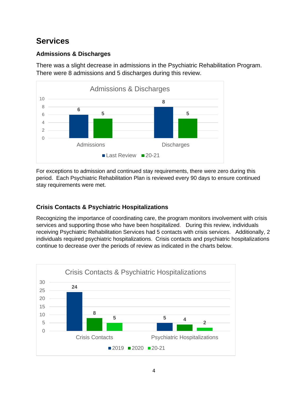# **Services**

# **Admissions & Discharges**

There was a slight decrease in admissions in the Psychiatric Rehabilitation Program. There were 8 admissions and 5 discharges during this review.



For exceptions to admission and continued stay requirements, there were zero during this period. Each Psychiatric Rehabilitation Plan is reviewed every 90 days to ensure continued stay requirements were met.

# **Crisis Contacts & Psychiatric Hospitalizations**

Recognizing the importance of coordinating care, the program monitors involvement with crisis services and supporting those who have been hospitalized. During this review, individuals receiving Psychiatric Rehabilitation Services had 5 contacts with crisis services. Additionally, 2 individuals required psychiatric hospitalizations. Crisis contacts and psychiatric hospitalizations continue to decrease over the periods of review as indicated in the charts below.

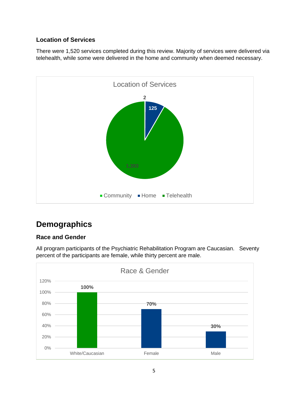# **Location of Services**

There were 1,520 services completed during this review. Majority of services were delivered via telehealth, while some were delivered in the home and community when deemed necessary.



# **Demographics**

# **Race and Gender**



All program participants of the Psychiatric Rehabilitation Program are Caucasian. Seventy percent of the participants are female, while thirty percent are male.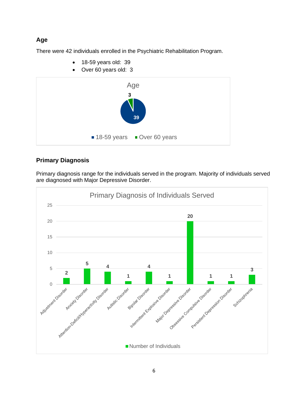# **Age**

There were 42 individuals enrolled in the Psychiatric Rehabilitation Program.

- 18-59 years old: 39
- Over 60 years old: 3



# **Primary Diagnosis**

Primary diagnosis range for the individuals served in the program. Majority of individuals served are diagnosed with Major Depressive Disorder.

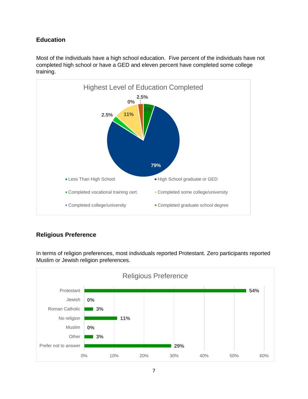# **Education**

Most of the individuals have a high school education. Five percent of the individuals have not completed high school or have a GED and eleven percent have completed some college training.



# **Religious Preference**

In terms of religion preferences, most individuals reported Protestant. Zero participants reported Muslim or Jewish religion preferences.

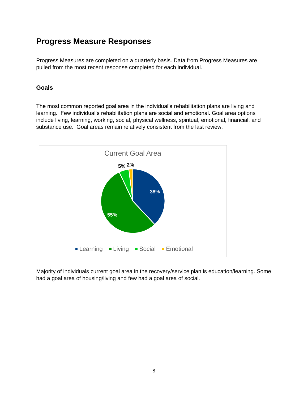# **Progress Measure Responses**

Progress Measures are completed on a quarterly basis. Data from Progress Measures are pulled from the most recent response completed for each individual.

## **Goals**

The most common reported goal area in the individual's rehabilitation plans are living and learning. Few individual's rehabilitation plans are social and emotional. Goal area options include living, learning, working, social, physical wellness, spiritual, emotional, financial, and substance use. Goal areas remain relatively consistent from the last review.



Majority of individuals current goal area in the recovery/service plan is education/learning. Some had a goal area of housing/living and few had a goal area of social.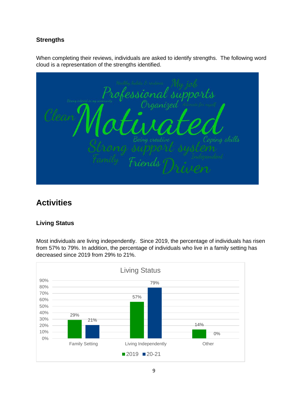# **Strengths**

When completing their reviews, individuals are asked to identify strengths. The following word cloud is a representation of the strengths identified.

fessional supports Irganizea skills Friends

# **Activities**

# **Living Status**

Most individuals are living independently. Since 2019, the percentage of individuals has risen from 57% to 79%. In addition, the percentage of individuals who live in a family setting has decreased since 2019 from 29% to 21%.

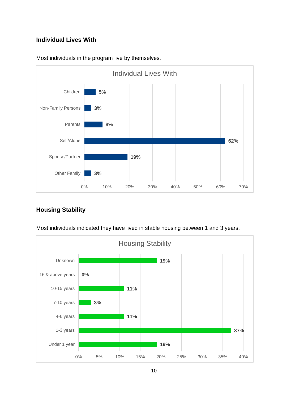# **Individual Lives With**



Most individuals in the program live by themselves.

# **Housing Stability**



Most individuals indicated they have lived in stable housing between 1 and 3 years.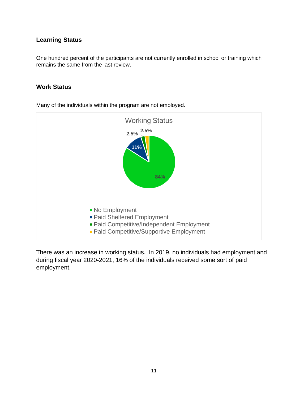## **Learning Status**

One hundred percent of the participants are not currently enrolled in school or training which remains the same from the last review.

#### **Work Status**



Many of the individuals within the program are not employed.

There was an increase in working status. In 2019, no individuals had employment and during fiscal year 2020-2021, 16% of the individuals received some sort of paid employment.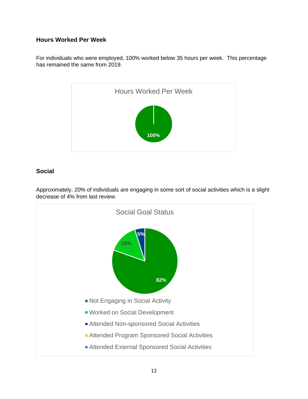## **Hours Worked Per Week**

For individuals who were employed, 100% worked below 35 hours per week. This percentage has remained the same from 2019.



## **Social**



Approximately, 20% of individuals are engaging in some sort of social activities which is a slight decrease of 4% from last review.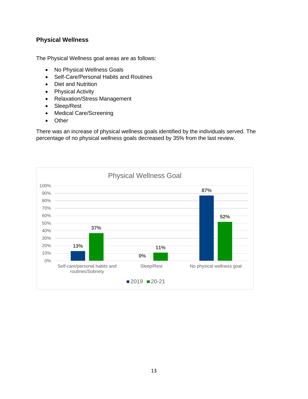# **Physical Wellness**

The Physical Wellness goal areas are as follows:

- No Physical Wellness Goals
- Self-Care/Personal Habits and Routines
- Diet and Nutrition
- Physical Activity
- Relaxation/Stress Management
- Sleep/Rest
- Medical Care/Screening
- Other

There was an increase of physical wellness goals identified by the individuals served. The percentage of no physical wellness goals decreased by 35% from the last review.

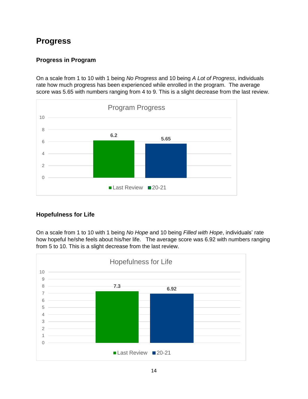# **Progress**

# **Progress in Program**

On a scale from 1 to 10 with 1 being *No Progress* and 10 being *A Lot of Progress*, individuals rate how much progress has been experienced while enrolled in the program. The average score was 5.65 with numbers ranging from 4 to 9. This is a slight decrease from the last review.



# **Hopefulness for Life**

On a scale from 1 to 10 with 1 being *No Hope* and 10 being *Filled with Hope*, individuals' rate how hopeful he/she feels about his/her life. The average score was 6.92 with numbers ranging from 5 to 10. This is a slight decrease from the last review.

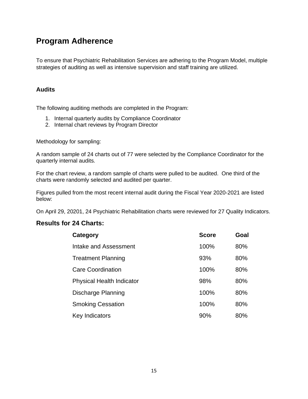# **Program Adherence**

To ensure that Psychiatric Rehabilitation Services are adhering to the Program Model, multiple strategies of auditing as well as intensive supervision and staff training are utilized.

#### **Audits**

The following auditing methods are completed in the Program:

- 1. Internal quarterly audits by Compliance Coordinator
- 2. Internal chart reviews by Program Director

Methodology for sampling:

A random sample of 24 charts out of 77 were selected by the Compliance Coordinator for the quarterly internal audits.

For the chart review, a random sample of charts were pulled to be audited. One third of the charts were randomly selected and audited per quarter.

Figures pulled from the most recent internal audit during the Fiscal Year 2020-2021 are listed below:

On April 29, 20201, 24 Psychiatric Rehabilitation charts were reviewed for 27 Quality Indicators.

# **Results for 24 Charts:**

| Category                         | <b>Score</b> | Goal |
|----------------------------------|--------------|------|
| Intake and Assessment            | 100%         | 80%  |
| <b>Treatment Planning</b>        | 93%          | 80%  |
| Care Coordination                | 100%         | 80%  |
| <b>Physical Health Indicator</b> | 98%          | 80%  |
| Discharge Planning               | 100%         | 80%  |
| <b>Smoking Cessation</b>         | 100%         | 80%  |
| Key Indicators                   | 90%          | 80%  |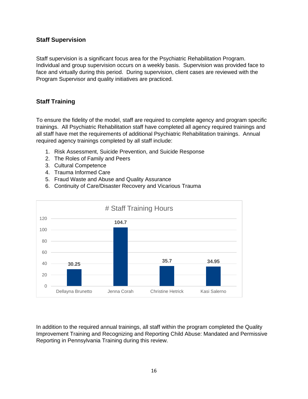#### **Staff Supervision**

Staff supervision is a significant focus area for the Psychiatric Rehabilitation Program. Individual and group supervision occurs on a weekly basis. Supervision was provided face to face and virtually during this period. During supervision, client cases are reviewed with the Program Supervisor and quality initiatives are practiced.

# **Staff Training**

To ensure the fidelity of the model, staff are required to complete agency and program specific trainings. All Psychiatric Rehabilitation staff have completed all agency required trainings and all staff have met the requirements of additional Psychiatric Rehabilitation trainings. Annual required agency trainings completed by all staff include:

- 1. Risk Assessment, Suicide Prevention, and Suicide Response
- 2. The Roles of Family and Peers
- 3. Cultural Competence
- 4. Trauma Informed Care
- 5. Fraud Waste and Abuse and Quality Assurance
- 6. Continuity of Care/Disaster Recovery and Vicarious Trauma



In addition to the required annual trainings, all staff within the program completed the Quality Improvement Training and Recognizing and Reporting Child Abuse: Mandated and Permissive Reporting in Pennsylvania Training during this review.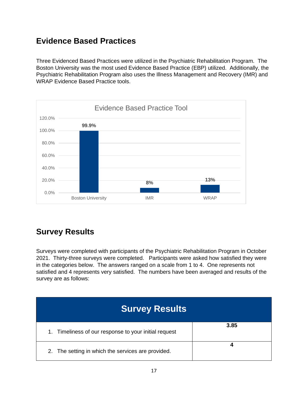# **Evidence Based Practices**

Three Evidenced Based Practices were utilized in the Psychiatric Rehabilitation Program. The Boston University was the most used Evidence Based Practice (EBP) utilized. Additionally, the Psychiatric Rehabilitation Program also uses the Illness Management and Recovery (IMR) and WRAP Evidence Based Practice tools.



# **Survey Results**

Surveys were completed with participants of the Psychiatric Rehabilitation Program in October 2021. Thirty-three surveys were completed. Participants were asked how satisfied they were in the categories below. The answers ranged on a scale from 1 to 4. One represents not satisfied and 4 represents very satisfied. The numbers have been averaged and results of the survey are as follows:

| <b>Survey Results</b>                                 |      |
|-------------------------------------------------------|------|
| 1. Timeliness of our response to your initial request | 3.85 |
| 2. The setting in which the services are provided.    |      |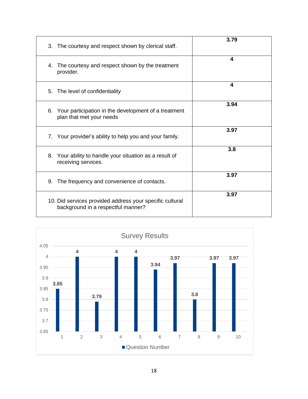| 3. The courtesy and respect shown by clerical staff.                                           | 3.79 |
|------------------------------------------------------------------------------------------------|------|
| The courtesy and respect shown by the treatment<br>4.<br>provider.                             | 4    |
| 5. The level of confidentiality                                                                | 4    |
| Your participation in the development of a treatment<br>6.<br>plan that met your needs         | 3.94 |
| 7. Your provider's ability to help you and your family.                                        | 3.97 |
| 8. Your ability to handle your situation as a result of<br>receiving services.                 | 3.8  |
| The frequency and convenience of contacts.<br>9.                                               | 3.97 |
| 10. Did services provided address your specific cultural<br>background in a respectful manner? | 3.97 |